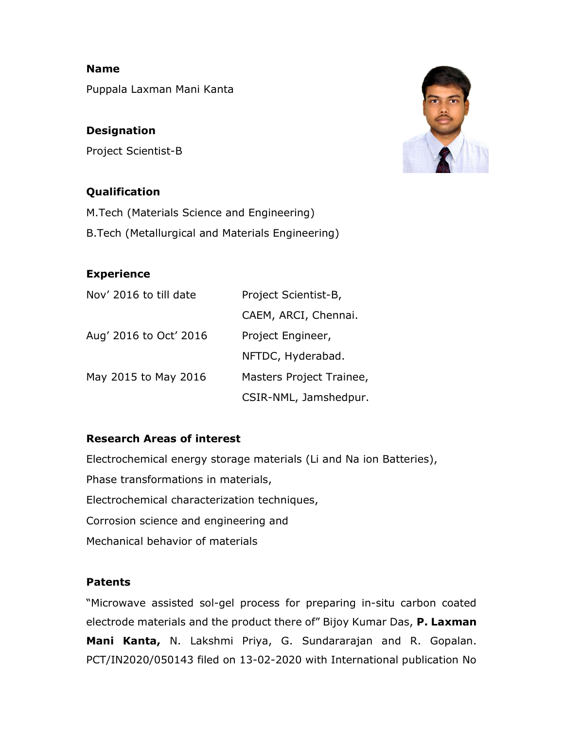Puppala Laxman Mani Kanta

## **Designation**

Name

Project Scientist-B

# Qualification

M.Tech (Materials Science and Engineering) B.Tech (Metallurgical and Materials Engineering)

# Experience

| Nov' 2016 to till date | Project Scientist-B,     |
|------------------------|--------------------------|
|                        | CAEM, ARCI, Chennai.     |
| Aug' 2016 to Oct' 2016 | Project Engineer,        |
|                        | NFTDC, Hyderabad.        |
| May 2015 to May 2016   | Masters Project Trainee, |
|                        | CSIR-NML, Jamshedpur.    |

## Research Areas of interest

Electrochemical energy storage materials (Li and Na ion Batteries), Phase transformations in materials, Electrochemical characterization techniques, Corrosion science and engineering and Mechanical behavior of materials

## Patents

"Microwave assisted sol-gel process for preparing in-situ carbon coated electrode materials and the product there of" Bijoy Kumar Das, P. Laxman Mani Kanta, N. Lakshmi Priya, G. Sundararajan and R. Gopalan. PCT/IN2020/050143 filed on 13-02-2020 with International publication No

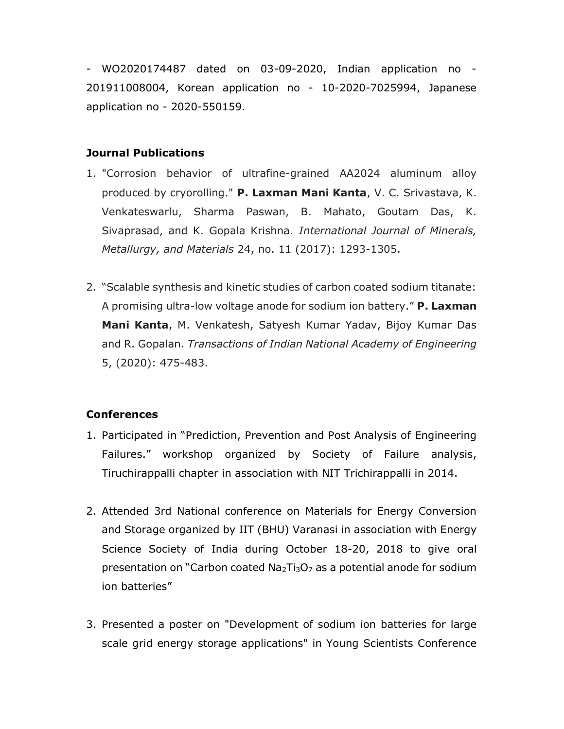- WO2020174487 dated on 03-09-2020, Indian application no - 201911008004, Korean application no - 10-2020-7025994, Japanese application no - 2020-550159.

#### Journal Publications

- 1. "Corrosion behavior of ultrafine-grained AA2024 aluminum alloy produced by cryorolling." P. Laxman Mani Kanta, V. C. Srivastava, K. Venkateswarlu, Sharma Paswan, B. Mahato, Goutam Das, K. Sivaprasad, and K. Gopala Krishna. International Journal of Minerals, Metallurgy, and Materials 24, no. 11 (2017): 1293-1305.
- 2. "Scalable synthesis and kinetic studies of carbon coated sodium titanate: A promising ultra-low voltage anode for sodium ion battery." **P. Laxman** Mani Kanta, M. Venkatesh, Satyesh Kumar Yadav, Bijoy Kumar Das and R. Gopalan. Transactions of Indian National Academy of Engineering 5, (2020): 475-483.

#### **Conferences**

- 1. Participated in "Prediction, Prevention and Post Analysis of Engineering Failures." workshop organized by Society of Failure analysis, Tiruchirappalli chapter in association with NIT Trichirappalli in 2014.
- 2. Attended 3rd National conference on Materials for Energy Conversion and Storage organized by IIT (BHU) Varanasi in association with Energy Science Society of India during October 18-20, 2018 to give oral presentation on "Carbon coated  $Na<sub>2</sub>Ti<sub>3</sub>O<sub>7</sub>$  as a potential anode for sodium ion batteries"
- 3. Presented a poster on "Development of sodium ion batteries for large scale grid energy storage applications" in Young Scientists Conference